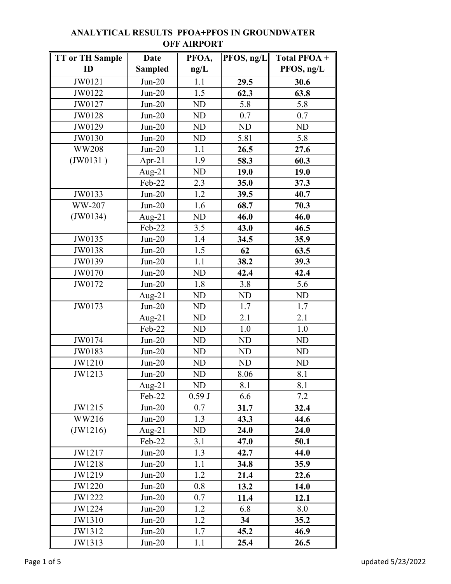| TT or TH Sample | <b>Date</b>    | PFOA,     | PFOS, ng/L | Total PFOA +   |
|-----------------|----------------|-----------|------------|----------------|
| ID              | <b>Sampled</b> | ng/L      |            | PFOS, ng/L     |
| JW0121          | $Jun-20$       | 1.1       | 29.5       | 30.6           |
| JW0122          | $Jun-20$       | 1.5       | 62.3       | 63.8           |
| JW0127          | $Jun-20$       | <b>ND</b> | 5.8        | 5.8            |
| JW0128          | $Jun-20$       | <b>ND</b> | 0.7        | 0.7            |
| JW0129          | $Jun-20$       | <b>ND</b> | <b>ND</b>  | <b>ND</b>      |
| JW0130          | $Jun-20$       | <b>ND</b> | 5.81       | 5.8            |
| <b>WW208</b>    | $Jun-20$       | 1.1       | 26.5       | 27.6           |
| (JW0131)        | Apr-21         | 1.9       | 58.3       | 60.3           |
|                 | Aug- $21$      | <b>ND</b> | 19.0       | 19.0           |
|                 | Feb-22         | 2.3       | 35.0       | 37.3           |
| JW0133          | $Jun-20$       | 1.2       | 39.5       | 40.7           |
| WW-207          | $Jun-20$       | 1.6       | 68.7       | 70.3           |
| (JW0134)        | Aug- $21$      | ND        | 46.0       | 46.0           |
|                 | Feb-22         | 3.5       | 43.0       | 46.5           |
| JW0135          | $Jun-20$       | 1.4       | 34.5       | 35.9           |
| JW0138          | $Jun-20$       | 1.5       | 62         | 63.5           |
| JW0139          | $Jun-20$       | 1.1       | 38.2       | 39.3           |
| JW0170          | $Jun-20$       | <b>ND</b> | 42.4       | 42.4           |
| JW0172          | $Jun-20$       | 1.8       | 3.8        | 5.6            |
|                 | Aug- $21$      | <b>ND</b> | <b>ND</b>  | <b>ND</b>      |
| JW0173          | $Jun-20$       | <b>ND</b> | 1.7        | 1.7            |
|                 | Aug- $21$      | <b>ND</b> | 2.1        | 2.1            |
|                 | Feb-22         | <b>ND</b> | 1.0        | 1.0            |
| JW0174          | $Jun-20$       | <b>ND</b> | ND         | N <sub>D</sub> |
| JW0183          | $Jun-20$       | <b>ND</b> | <b>ND</b>  | <b>ND</b>      |
| JW1210          | $Jun-20$       | <b>ND</b> | <b>ND</b>  | <b>ND</b>      |
| JW1213          | $Jun-20$       | <b>ND</b> | 8.06       | 8.1            |
|                 | Aug- $21$      | ND        | 8.1        | 8.1            |
|                 | Feb-22         | 0.59J     | 6.6        | 7.2            |
| JW1215          | $Jun-20$       | 0.7       | 31.7       | 32.4           |
| WW216           | $Jun-20$       | 1.3       | 43.3       | 44.6           |
| (JW1216)        | Aug-21         | ND        | 24.0       | 24.0           |
|                 | Feb-22         | 3.1       | 47.0       | 50.1           |
| JW1217          | $Jun-20$       | 1.3       | 42.7       | 44.0           |
| JW1218          | $Jun-20$       | 1.1       | 34.8       | 35.9           |
| JW1219          | $Jun-20$       | 1.2       | 21.4       | 22.6           |
| JW1220          | $Jun-20$       | 0.8       | 13.2       | 14.0           |
| JW1222          | $Jun-20$       | 0.7       | 11.4       | 12.1           |
| JW1224          | $Jun-20$       | 1.2       | 6.8        | 8.0            |
| JW1310          | $Jun-20$       | 1.2       | 34         | 35.2           |
| JW1312          | $Jun-20$       | 1.7       | 45.2       | 46.9           |
| JW1313          | $Jun-20$       | 1.1       | 25.4       | 26.5           |

## **ANALYTICAL RESULTS PFOA+PFOS IN GROUNDWATER OFF AIRPORT**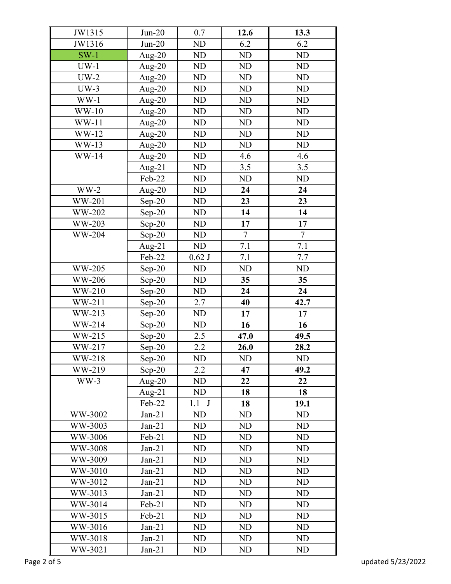| JW1315        | $Jun-20$  | 0.7       | 12.6      | 13.3      |
|---------------|-----------|-----------|-----------|-----------|
| JW1316        | $Jun-20$  | ND        | 6.2       | 6.2       |
| $SW-1$        | Aug- $20$ | ND        | <b>ND</b> | <b>ND</b> |
| $UW-1$        | Aug- $20$ | ND        | <b>ND</b> | <b>ND</b> |
| $UW-2$        | Aug- $20$ | ND        | <b>ND</b> | <b>ND</b> |
| $UW-3$        | Aug- $20$ | <b>ND</b> | <b>ND</b> | <b>ND</b> |
| $WW-1$        | Aug- $20$ | ND        | <b>ND</b> | <b>ND</b> |
| $WW-10$       | Aug- $20$ | ND        | ND        | <b>ND</b> |
| $WW-11$       | Aug- $20$ | ND        | <b>ND</b> | <b>ND</b> |
| $WW-12$       | Aug- $20$ | ND        | ND        | <b>ND</b> |
| $WW-13$       | Aug- $20$ | ND        | <b>ND</b> | <b>ND</b> |
| <b>WW-14</b>  | Aug- $20$ | ND        | 4.6       | 4.6       |
|               | Aug- $21$ | <b>ND</b> | 3.5       | 3.5       |
|               | Feb-22    | ND        | <b>ND</b> | <b>ND</b> |
| $WW-2$        | Aug- $20$ | ND        | 24        | 24        |
| <b>WW-201</b> | $Sep-20$  | ND        | 23        | 23        |
| <b>WW-202</b> | $Sep-20$  | ND        | 14        | 14        |
| WW-203        | $Sep-20$  | ND        | 17        | 17        |
| <b>WW-204</b> | $Sep-20$  | ND        | $\tau$    | $\tau$    |
|               | Aug- $21$ | ND        | 7.1       | 7.1       |
|               | Feb-22    | $0.62$ J  | 7.1       | 7.7       |
| WW-205        | $Sep-20$  | ND        | <b>ND</b> | <b>ND</b> |
| WW-206        | $Sep-20$  | ND        | 35        | 35        |
| WW-210        | $Sep-20$  | ND        | 24        | 24        |
| WW-211        | $Sep-20$  | 2.7       | 40        | 42.7      |
| WW-213        | $Sep-20$  | ND        | 17        | 17        |
| WW-214        | $Sep-20$  | ND        | 16        | 16        |
| WW-215        | $Sep-20$  | 2.5       | 47.0      | 49.5      |
| WW-217        | $Sep-20$  | 2.2       | 26.0      | 28.2      |
| WW-218        | $Sep-20$  | ND        | <b>ND</b> | <b>ND</b> |
| WW-219        | $Sep-20$  | 2.2       | 47        | 49.2      |
| $WW-3$        | Aug- $20$ | ND        | 22        | 22        |
|               | Aug- $21$ | ND        | 18        | 18        |
|               | Feb-22    | 1.1 J     | 18        | 19.1      |
| WW-3002       | $Jan-21$  | ND        | <b>ND</b> | <b>ND</b> |
| WW-3003       | $Jan-21$  | ND        | ND        | <b>ND</b> |
| WW-3006       | $Feb-21$  | ND        | <b>ND</b> | <b>ND</b> |
| WW-3008       | $Jan-21$  | ND        | <b>ND</b> | <b>ND</b> |
| WW-3009       | $Jan-21$  | ND        | ND        | ND        |
| WW-3010       | $Jan-21$  | ND        | <b>ND</b> | <b>ND</b> |
| WW-3012       | $Jan-21$  | ND        | <b>ND</b> | <b>ND</b> |
| WW-3013       | $Jan-21$  | ND        | <b>ND</b> | <b>ND</b> |
| WW-3014       | Feb-21    | ND        | ND        | <b>ND</b> |
| WW-3015       | $Feb-21$  | ND        | ND        | <b>ND</b> |
| WW-3016       | $Jan-21$  | ND        | <b>ND</b> | <b>ND</b> |
| WW-3018       | $Jan-21$  | ND        | ND        | ND        |
| WW-3021       | $Jan-21$  | ND        | ND        | <b>ND</b> |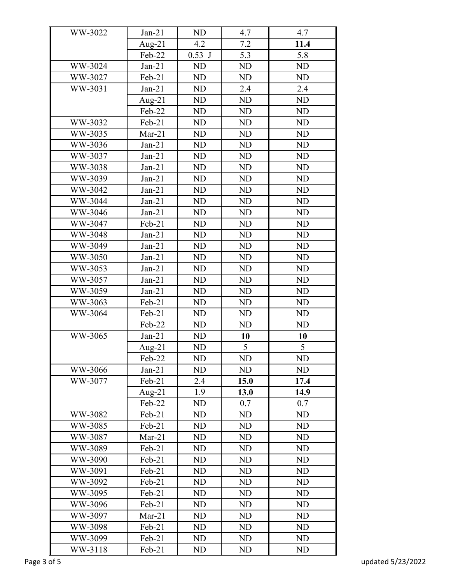| WW-3022                | $Jan-21$            | ND        | 4.7  | 4.7       |
|------------------------|---------------------|-----------|------|-----------|
|                        | Aug- $21$           | 4.2       | 7.2  | 11.4      |
|                        | Feb-22              | $0.53$ J  | 5.3  | 5.8       |
| WW-3024                | $Jan-21$            | ND        | ND   | ND        |
| WW-3027                | Feb-21              | ND        | ND   | ND        |
| WW-3031                | $Jan-21$            | ND        | 2.4  | 2.4       |
|                        | Aug- $21$           | ND        | ND   | ND        |
|                        | Feb-22              | ND        | ND   | ND        |
| WW-3032                | Feb-21              | ND        | ND   | ND        |
| WW-3035                | $Mar-21$            | ND        | ND   | ND        |
| WW-3036                | $Jan-21$            | ND        | ND   | ND        |
| WW-3037                | $Jan-21$            | ND        | ND   | ND        |
| WW-3038                | $Jan-21$            | ND        | ND   | ND        |
| WW-3039                | $Jan-21$            | ND        | ND   | ND        |
| WW-3042                | $Jan-21$            | ND        | ND   | ND        |
| WW-3044                | $Jan-21$            | ND        | ND   | ND        |
| WW-3046                | $Jan-21$            | ND        | ND   | ND        |
| WW-3047                | Feb-21              | ND        | ND   | ND        |
| WW-3048                | $Jan-21$            | ND        | ND   | ND        |
| WW-3049                | $Jan-21$            | ND        | ND   | ND        |
| WW-3050                | $Jan-21$            | ND        | ND   | ND        |
| WW-3053                | $Jan-21$            | ND        | ND   | ND        |
| WW-3057                | $Jan-21$            | ND        | ND   | ND        |
| WW-3059                | $Jan-21$            | ND        | ND   | ND        |
| WW-3063                | Feb-21              | ND        | ND   | ND        |
| WW-3064                | Feb-21              | ND        | ND   | ND        |
|                        | Feb-22              | ND        | ND   | ND        |
| WW-3065                | $Jan-21$            | ND        | 10   | 10        |
|                        | Aug- $21$           | ND        | 5    | 5         |
|                        | Feb-22              | <b>ND</b> | ND   | <b>ND</b> |
| WW-3066                | $Jan-21$            | ND        | ND   | ND        |
| WW-3077                | Feb-21              | 2.4       | 15.0 | 17.4      |
|                        |                     | 1.9       | 13.0 | 14.9      |
|                        | Aug- $21$<br>Feb-22 | ND        | 0.7  | 0.7       |
| WW-3082                | Feb-21              | ND        | ND   | ND        |
| WW-3085                | Feb-21              | ND        | ND   | ND        |
| WW-3087                | $Mar-21$            | ND        | ND   | ND        |
| WW-3089                | Feb-21              | ND        | ND   | ND        |
| WW-3090                | Feb-21              | ND        | ND   | ND        |
| WW-3091                | Feb-21              | ND        | ND   | ND        |
| WW-3092                | Feb-21              | ND        | ND   | ND        |
| WW-3095                | Feb-21              | ND        | ND   | ND        |
| WW-3096                |                     |           | ND   | ND        |
|                        | Feb-21              | ND        |      | ND        |
| WW-3097                | $Mar-21$            | ND        | ND   | ND        |
| WW-3098                | Feb-21              | ND        | ND   |           |
| WW-3099                | $Feb-21$            | ND        | ND   | ND        |
| WW-3118<br>Page 3 of 5 | Feb-21              | ND        | ND   | ND        |
|                        |                     |           |      |           |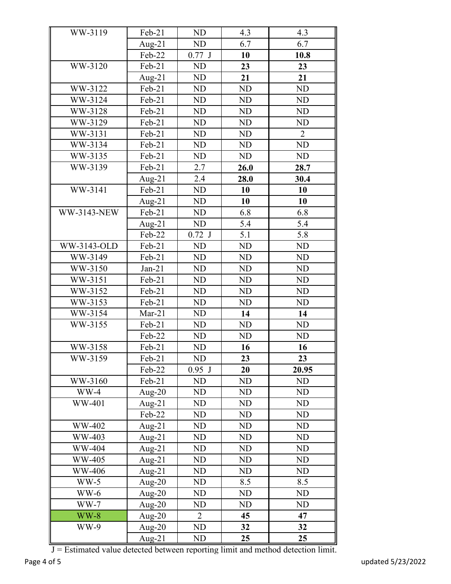| WW-3119            | Feb-21    | <b>ND</b>      | 4.3       | 4.3            |  |
|--------------------|-----------|----------------|-----------|----------------|--|
|                    | Aug-21    | ND             | 6.7       | 6.7            |  |
|                    | Feb-22    | $0.77$ J       | 10        | 10.8           |  |
| WW-3120            | Feb-21    | <b>ND</b>      | 23        | 23             |  |
|                    | Aug- $21$ | <b>ND</b>      | 21        | 21             |  |
| WW-3122            | Feb-21    | <b>ND</b>      | <b>ND</b> | <b>ND</b>      |  |
| WW-3124            | Feb-21    | <b>ND</b>      | <b>ND</b> | <b>ND</b>      |  |
| WW-3128            | Feb-21    | <b>ND</b>      | <b>ND</b> | <b>ND</b>      |  |
| WW-3129            | Feb-21    | ND             | <b>ND</b> | <b>ND</b>      |  |
| WW-3131            | Feb-21    | <b>ND</b>      | <b>ND</b> | $\overline{2}$ |  |
| WW-3134            | Feb-21    | ND             | ND        | <b>ND</b>      |  |
| WW-3135            | Feb-21    | <b>ND</b>      | <b>ND</b> | <b>ND</b>      |  |
| WW-3139            | Feb-21    | 2.7            | 26.0      | 28.7           |  |
|                    | Aug- $21$ | 2.4            | 28.0      | 30.4           |  |
| WW-3141            | Feb-21    | <b>ND</b>      | 10        | 10             |  |
|                    | Aug- $21$ | <b>ND</b>      | 10        | 10             |  |
| <b>WW-3143-NEW</b> | Feb-21    | <b>ND</b>      | 6.8       | 6.8            |  |
|                    | Aug- $21$ | <b>ND</b>      | 5.4       | 5.4            |  |
|                    | Feb-22    | $0.72$ J       | 5.1       | 5.8            |  |
| WW-3143-OLD        | Feb-21    | <b>ND</b>      | <b>ND</b> | <b>ND</b>      |  |
| WW-3149            | Feb-21    | <b>ND</b>      | <b>ND</b> | <b>ND</b>      |  |
| WW-3150            | $Jan-21$  | ND             | <b>ND</b> | <b>ND</b>      |  |
| WW-3151            | Feb-21    | <b>ND</b>      | <b>ND</b> | <b>ND</b>      |  |
| WW-3152            | Feb-21    | <b>ND</b>      | <b>ND</b> | <b>ND</b>      |  |
| WW-3153            | Feb-21    | <b>ND</b>      | <b>ND</b> | <b>ND</b>      |  |
| WW-3154            | $Mar-21$  | <b>ND</b>      | 14        | 14             |  |
| WW-3155            | Feb-21    | <b>ND</b>      | ND        | <b>ND</b>      |  |
|                    | Feb-22    | <b>ND</b>      | <b>ND</b> | <b>ND</b>      |  |
| WW-3158            | Feb-21    | ND             | 16        | 16             |  |
| WW-3159            | Feb-21    | ND             | 23        | 23             |  |
|                    | Feb-22    | $0.95$ J       | 20        | 20.95          |  |
| WW-3160            | Feb-21    | ND             | ND        | <b>ND</b>      |  |
| $WW-4$             | Aug- $20$ | ND             | <b>ND</b> | <b>ND</b>      |  |
| WW-401             | Aug- $21$ | ND             | ND        | ND             |  |
|                    | Feb-22    | ND             | ND        | ND             |  |
| WW-402             | Aug- $21$ | ND             | ND        | <b>ND</b>      |  |
| WW-403             | Aug- $21$ | ND             | <b>ND</b> | <b>ND</b>      |  |
| WW-404             | Aug-21    | ND             | ND        | ND             |  |
| WW-405             | Aug-21    | ND             | ND        | <b>ND</b>      |  |
| WW-406             | Aug-21    | ND             | ND        | <b>ND</b>      |  |
| $WW-5$             | Aug-20    | ND             | 8.5       | 8.5            |  |
| $WW-6$             | Aug- $20$ | ND             | <b>ND</b> | ND             |  |
| $WW-7$             | Aug- $20$ | ND             | ND        | ND             |  |
| $WW-8$             | Aug- $20$ | $\overline{2}$ | 45        | 47             |  |
| WW-9               | Aug-20    | ND             | 32        | 32             |  |
|                    | Aug-21    | ND             | 25        | 25             |  |

J = Estimated value detected between reporting limit and method detection limit.